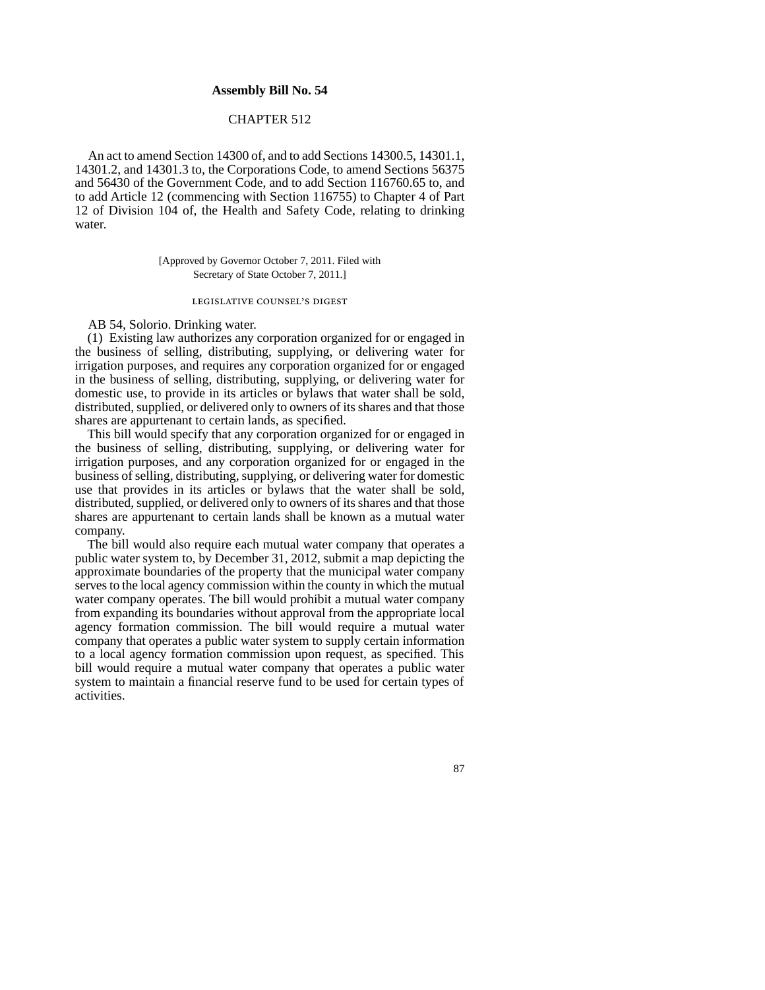## **Assembly Bill No. 54**

# CHAPTER 512

An act to amend Section 14300 of, and to add Sections 14300.5, 14301.1, 14301.2, and 14301.3 to, the Corporations Code, to amend Sections 56375 and 56430 of the Government Code, and to add Section 116760.65 to, and to add Article 12 (commencing with Section 116755) to Chapter 4 of Part 12 of Division 104 of, the Health and Safety Code, relating to drinking water.

> [Approved by Governor October 7, 2011. Filed with Secretary of State October 7, 2011.]

#### legislative counsel's digest

AB 54, Solorio. Drinking water.

(1) Existing law authorizes any corporation organized for or engaged in the business of selling, distributing, supplying, or delivering water for irrigation purposes, and requires any corporation organized for or engaged in the business of selling, distributing, supplying, or delivering water for domestic use, to provide in its articles or bylaws that water shall be sold, distributed, supplied, or delivered only to owners of its shares and that those shares are appurtenant to certain lands, as specified.

This bill would specify that any corporation organized for or engaged in the business of selling, distributing, supplying, or delivering water for irrigation purposes, and any corporation organized for or engaged in the business of selling, distributing, supplying, or delivering water for domestic use that provides in its articles or bylaws that the water shall be sold, distributed, supplied, or delivered only to owners of its shares and that those shares are appurtenant to certain lands shall be known as a mutual water company.

The bill would also require each mutual water company that operates a public water system to, by December 31, 2012, submit a map depicting the approximate boundaries of the property that the municipal water company serves to the local agency commission within the county in which the mutual water company operates. The bill would prohibit a mutual water company from expanding its boundaries without approval from the appropriate local agency formation commission. The bill would require a mutual water company that operates a public water system to supply certain information to a local agency formation commission upon request, as specified. This bill would require a mutual water company that operates a public water system to maintain a financial reserve fund to be used for certain types of activities.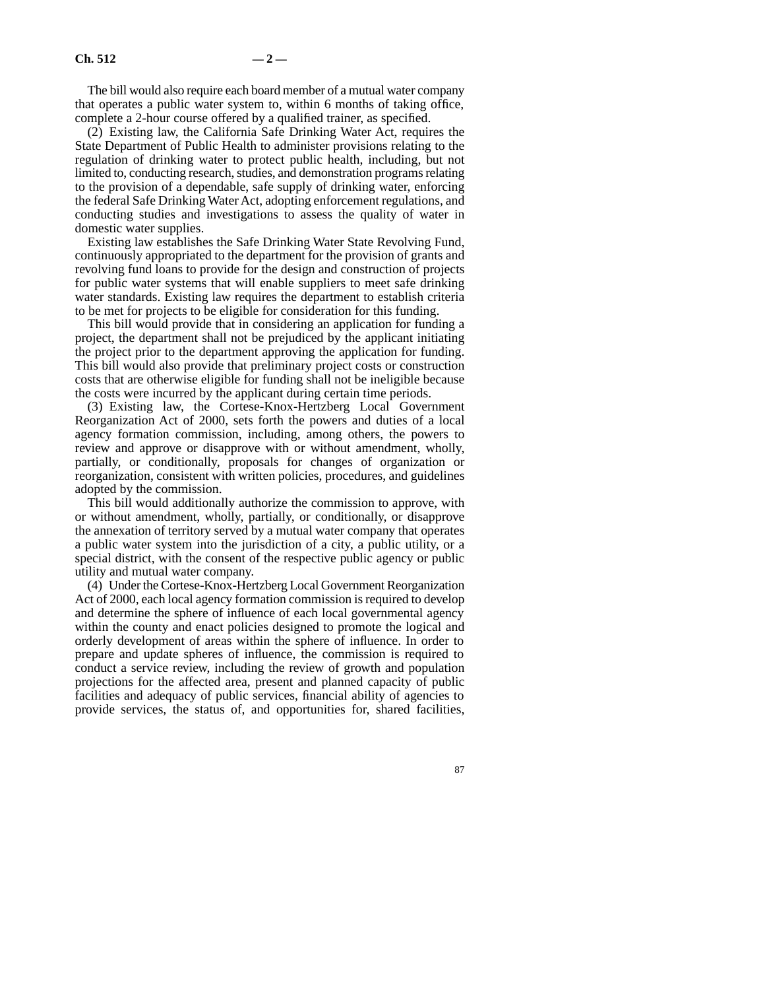The bill would also require each board member of a mutual water company that operates a public water system to, within 6 months of taking office, complete a 2-hour course offered by a qualified trainer, as specified.

(2) Existing law, the California Safe Drinking Water Act, requires the State Department of Public Health to administer provisions relating to the regulation of drinking water to protect public health, including, but not limited to, conducting research, studies, and demonstration programs relating to the provision of a dependable, safe supply of drinking water, enforcing the federal Safe Drinking Water Act, adopting enforcement regulations, and conducting studies and investigations to assess the quality of water in domestic water supplies.

Existing law establishes the Safe Drinking Water State Revolving Fund, continuously appropriated to the department for the provision of grants and revolving fund loans to provide for the design and construction of projects for public water systems that will enable suppliers to meet safe drinking water standards. Existing law requires the department to establish criteria to be met for projects to be eligible for consideration for this funding.

This bill would provide that in considering an application for funding a project, the department shall not be prejudiced by the applicant initiating the project prior to the department approving the application for funding. This bill would also provide that preliminary project costs or construction costs that are otherwise eligible for funding shall not be ineligible because the costs were incurred by the applicant during certain time periods.

(3) Existing law, the Cortese-Knox-Hertzberg Local Government Reorganization Act of 2000, sets forth the powers and duties of a local agency formation commission, including, among others, the powers to review and approve or disapprove with or without amendment, wholly, partially, or conditionally, proposals for changes of organization or reorganization, consistent with written policies, procedures, and guidelines adopted by the commission.

This bill would additionally authorize the commission to approve, with or without amendment, wholly, partially, or conditionally, or disapprove the annexation of territory served by a mutual water company that operates a public water system into the jurisdiction of a city, a public utility, or a special district, with the consent of the respective public agency or public utility and mutual water company.

(4) Under the Cortese-Knox-Hertzberg Local Government Reorganization Act of 2000, each local agency formation commission is required to develop and determine the sphere of influence of each local governmental agency within the county and enact policies designed to promote the logical and orderly development of areas within the sphere of influence. In order to prepare and update spheres of influence, the commission is required to conduct a service review, including the review of growth and population projections for the affected area, present and planned capacity of public facilities and adequacy of public services, financial ability of agencies to provide services, the status of, and opportunities for, shared facilities,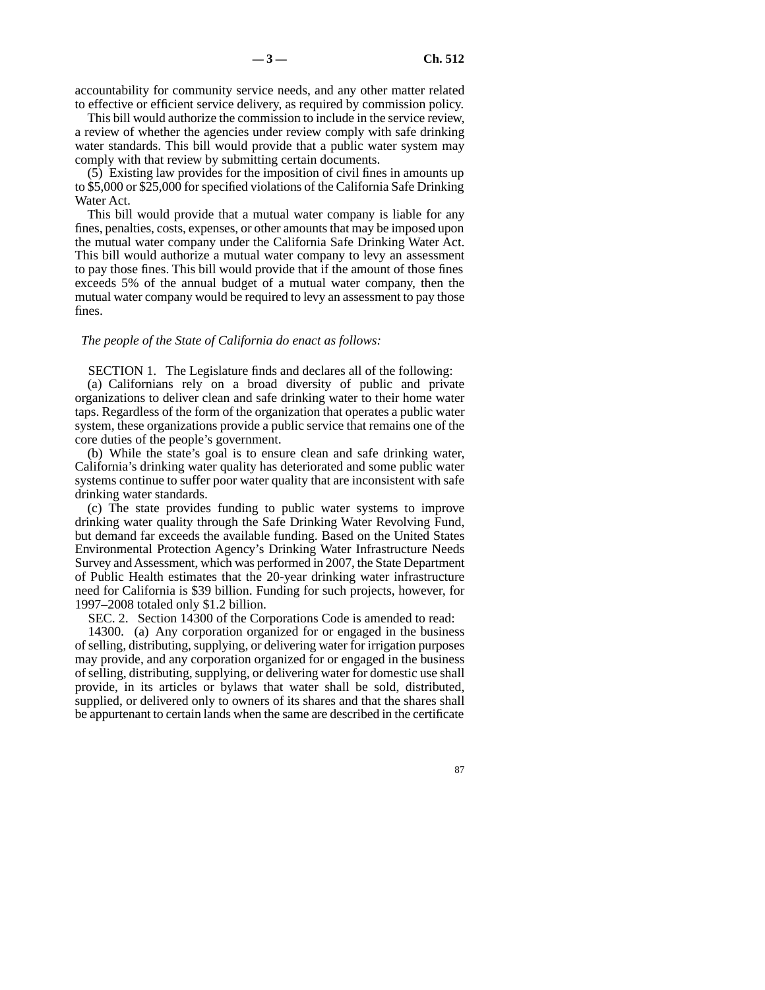accountability for community service needs, and any other matter related to effective or efficient service delivery, as required by commission policy.

This bill would authorize the commission to include in the service review, a review of whether the agencies under review comply with safe drinking water standards. This bill would provide that a public water system may comply with that review by submitting certain documents.

(5) Existing law provides for the imposition of civil fines in amounts up to \$5,000 or \$25,000 for specified violations of the California Safe Drinking Water Act.

This bill would provide that a mutual water company is liable for any fines, penalties, costs, expenses, or other amounts that may be imposed upon the mutual water company under the California Safe Drinking Water Act. This bill would authorize a mutual water company to levy an assessment to pay those fines. This bill would provide that if the amount of those fines exceeds 5% of the annual budget of a mutual water company, then the mutual water company would be required to levy an assessment to pay those fines.

### *The people of the State of California do enact as follows:*

SECTION 1. The Legislature finds and declares all of the following:

(a) Californians rely on a broad diversity of public and private organizations to deliver clean and safe drinking water to their home water taps. Regardless of the form of the organization that operates a public water system, these organizations provide a public service that remains one of the core duties of the people's government.

(b) While the state's goal is to ensure clean and safe drinking water, California's drinking water quality has deteriorated and some public water systems continue to suffer poor water quality that are inconsistent with safe drinking water standards.

(c) The state provides funding to public water systems to improve drinking water quality through the Safe Drinking Water Revolving Fund, but demand far exceeds the available funding. Based on the United States Environmental Protection Agency's Drinking Water Infrastructure Needs Survey and Assessment, which was performed in 2007, the State Department of Public Health estimates that the 20-year drinking water infrastructure need for California is \$39 billion. Funding for such projects, however, for 1997–2008 totaled only \$1.2 billion.

SEC. 2. Section 14300 of the Corporations Code is amended to read:

14300. (a) Any corporation organized for or engaged in the business of selling, distributing, supplying, or delivering water for irrigation purposes may provide, and any corporation organized for or engaged in the business of selling, distributing, supplying, or delivering water for domestic use shall provide, in its articles or bylaws that water shall be sold, distributed, supplied, or delivered only to owners of its shares and that the shares shall be appurtenant to certain lands when the same are described in the certificate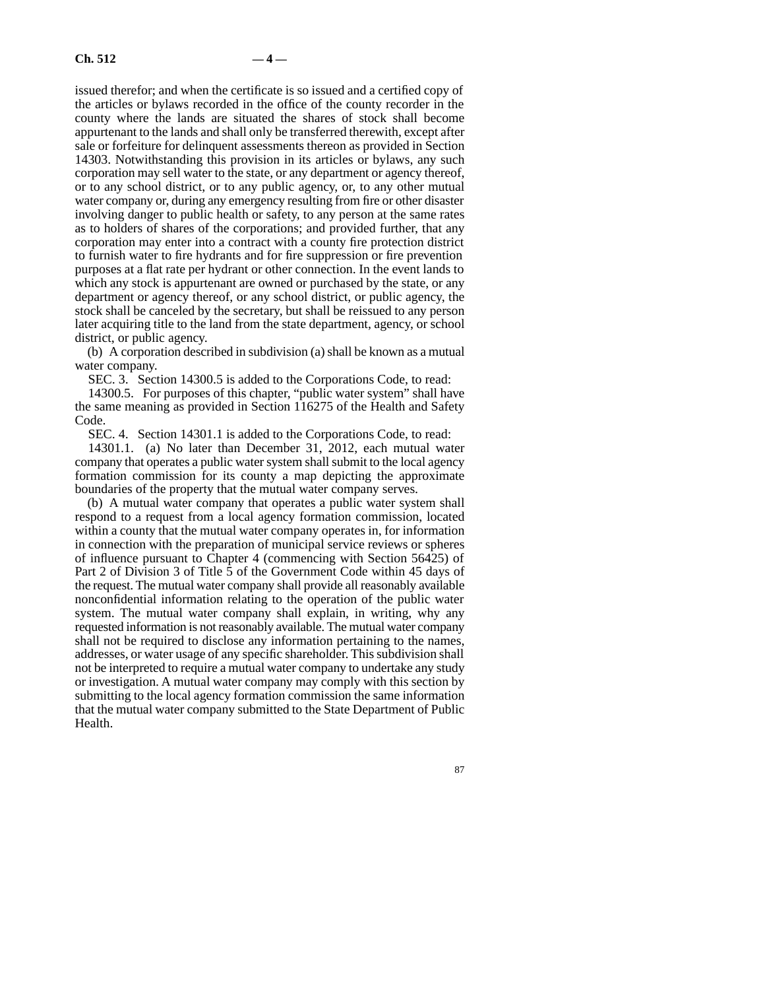issued therefor; and when the certificate is so issued and a certified copy of the articles or bylaws recorded in the office of the county recorder in the county where the lands are situated the shares of stock shall become appurtenant to the lands and shall only be transferred therewith, except after sale or forfeiture for delinquent assessments thereon as provided in Section 14303. Notwithstanding this provision in its articles or bylaws, any such corporation may sell water to the state, or any department or agency thereof, or to any school district, or to any public agency, or, to any other mutual water company or, during any emergency resulting from fire or other disaster involving danger to public health or safety, to any person at the same rates as to holders of shares of the corporations; and provided further, that any corporation may enter into a contract with a county fire protection district to furnish water to fire hydrants and for fire suppression or fire prevention purposes at a flat rate per hydrant or other connection. In the event lands to which any stock is appurtenant are owned or purchased by the state, or any department or agency thereof, or any school district, or public agency, the stock shall be canceled by the secretary, but shall be reissued to any person later acquiring title to the land from the state department, agency, or school district, or public agency.

(b) A corporation described in subdivision (a) shall be known as a mutual water company.

SEC. 3. Section 14300.5 is added to the Corporations Code, to read:

14300.5. For purposes of this chapter, "public water system" shall have the same meaning as provided in Section 116275 of the Health and Safety Code.

SEC. 4. Section 14301.1 is added to the Corporations Code, to read:

14301.1. (a) No later than December 31, 2012, each mutual water company that operates a public water system shall submit to the local agency formation commission for its county a map depicting the approximate boundaries of the property that the mutual water company serves.

(b) A mutual water company that operates a public water system shall respond to a request from a local agency formation commission, located within a county that the mutual water company operates in, for information in connection with the preparation of municipal service reviews or spheres of influence pursuant to Chapter 4 (commencing with Section 56425) of Part 2 of Division 3 of Title 5 of the Government Code within 45 days of the request. The mutual water company shall provide all reasonably available nonconfidential information relating to the operation of the public water system. The mutual water company shall explain, in writing, why any requested information is not reasonably available. The mutual water company shall not be required to disclose any information pertaining to the names, addresses, or water usage of any specific shareholder. This subdivision shall not be interpreted to require a mutual water company to undertake any study or investigation. A mutual water company may comply with this section by submitting to the local agency formation commission the same information that the mutual water company submitted to the State Department of Public Health.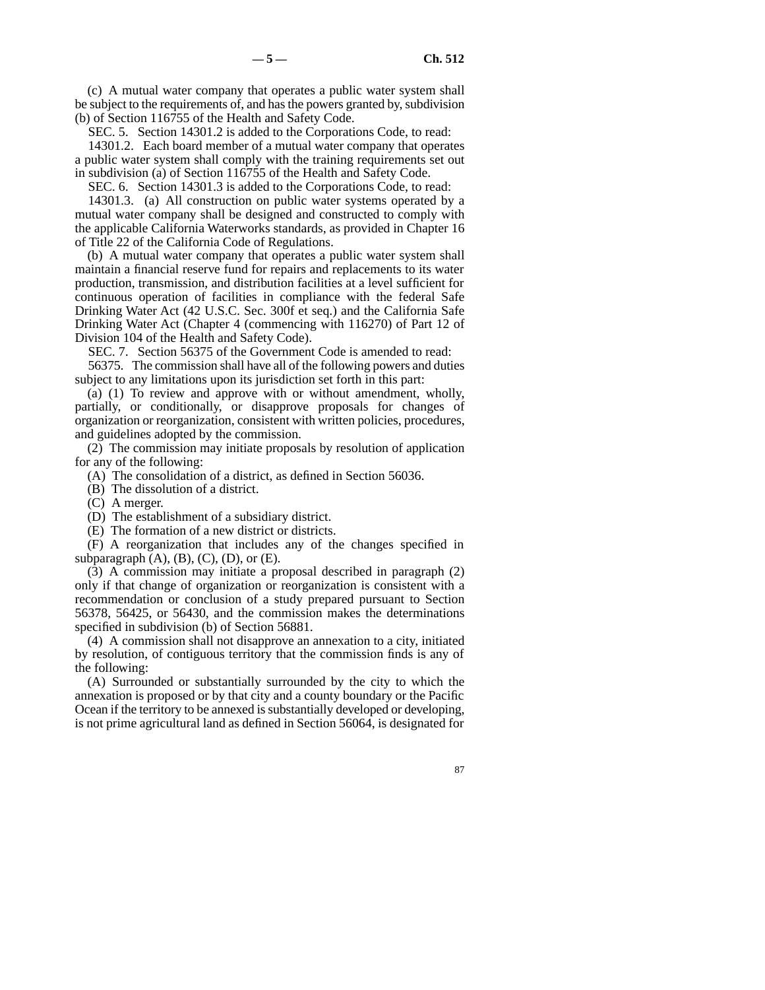(c) A mutual water company that operates a public water system shall be subject to the requirements of, and has the powers granted by, subdivision (b) of Section 116755 of the Health and Safety Code.

SEC. 5. Section 14301.2 is added to the Corporations Code, to read:

14301.2. Each board member of a mutual water company that operates a public water system shall comply with the training requirements set out in subdivision (a) of Section 116755 of the Health and Safety Code.

SEC. 6. Section 14301.3 is added to the Corporations Code, to read:

14301.3. (a) All construction on public water systems operated by a mutual water company shall be designed and constructed to comply with the applicable California Waterworks standards, as provided in Chapter 16 of Title 22 of the California Code of Regulations.

(b) A mutual water company that operates a public water system shall maintain a financial reserve fund for repairs and replacements to its water production, transmission, and distribution facilities at a level sufficient for continuous operation of facilities in compliance with the federal Safe Drinking Water Act (42 U.S.C. Sec. 300f et seq.) and the California Safe Drinking Water Act (Chapter 4 (commencing with 116270) of Part 12 of Division 104 of the Health and Safety Code).

SEC. 7. Section 56375 of the Government Code is amended to read:

56375. The commission shall have all of the following powers and duties subject to any limitations upon its jurisdiction set forth in this part:

(a) (1) To review and approve with or without amendment, wholly, partially, or conditionally, or disapprove proposals for changes of organization or reorganization, consistent with written policies, procedures, and guidelines adopted by the commission.

(2) The commission may initiate proposals by resolution of application for any of the following:

(A) The consolidation of a district, as defined in Section 56036.

(B) The dissolution of a district.

(C) A merger.

(D) The establishment of a subsidiary district.

(E) The formation of a new district or districts.

(F) A reorganization that includes any of the changes specified in subparagraph  $(A)$ ,  $(B)$ ,  $(C)$ ,  $(D)$ , or  $(E)$ .

(3) A commission may initiate a proposal described in paragraph (2) only if that change of organization or reorganization is consistent with a recommendation or conclusion of a study prepared pursuant to Section 56378, 56425, or 56430, and the commission makes the determinations specified in subdivision (b) of Section 56881.

(4) A commission shall not disapprove an annexation to a city, initiated by resolution, of contiguous territory that the commission finds is any of the following:

(A) Surrounded or substantially surrounded by the city to which the annexation is proposed or by that city and a county boundary or the Pacific Ocean if the territory to be annexed is substantially developed or developing, is not prime agricultural land as defined in Section 56064, is designated for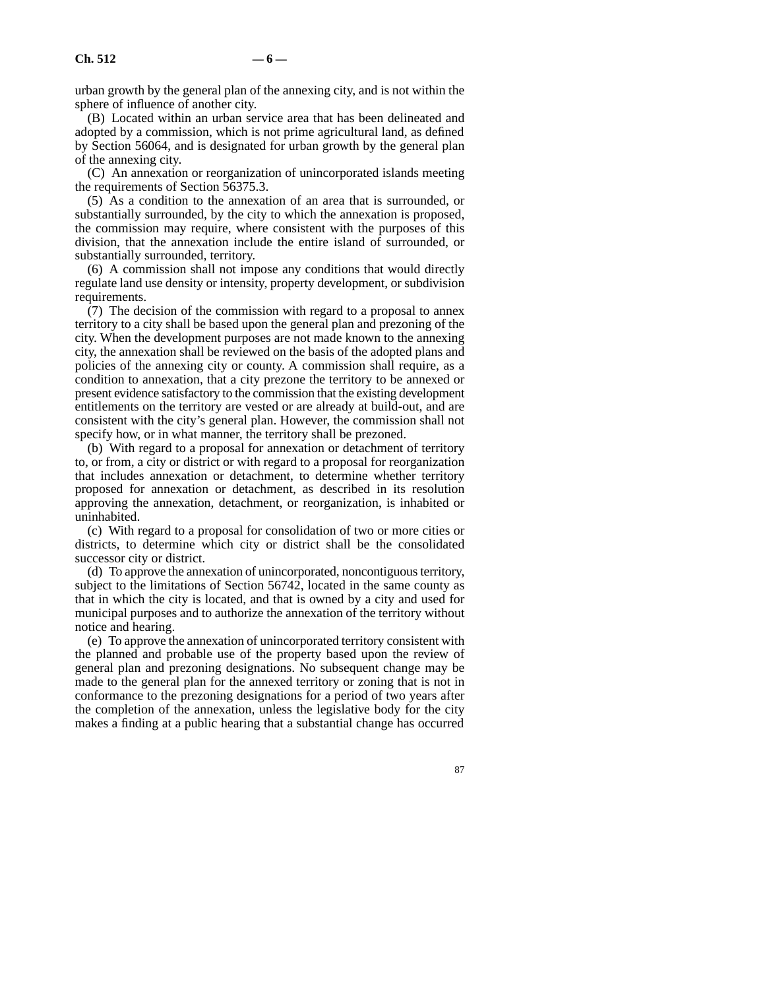urban growth by the general plan of the annexing city, and is not within the sphere of influence of another city.

(B) Located within an urban service area that has been delineated and adopted by a commission, which is not prime agricultural land, as defined by Section 56064, and is designated for urban growth by the general plan of the annexing city.

(C) An annexation or reorganization of unincorporated islands meeting the requirements of Section 56375.3.

(5) As a condition to the annexation of an area that is surrounded, or substantially surrounded, by the city to which the annexation is proposed, the commission may require, where consistent with the purposes of this division, that the annexation include the entire island of surrounded, or substantially surrounded, territory.

(6) A commission shall not impose any conditions that would directly regulate land use density or intensity, property development, or subdivision requirements.

 $(7)$  The decision of the commission with regard to a proposal to annex territory to a city shall be based upon the general plan and prezoning of the city. When the development purposes are not made known to the annexing city, the annexation shall be reviewed on the basis of the adopted plans and policies of the annexing city or county. A commission shall require, as a condition to annexation, that a city prezone the territory to be annexed or present evidence satisfactory to the commission that the existing development entitlements on the territory are vested or are already at build-out, and are consistent with the city's general plan. However, the commission shall not specify how, or in what manner, the territory shall be prezoned.

(b) With regard to a proposal for annexation or detachment of territory to, or from, a city or district or with regard to a proposal for reorganization that includes annexation or detachment, to determine whether territory proposed for annexation or detachment, as described in its resolution approving the annexation, detachment, or reorganization, is inhabited or uninhabited.

(c) With regard to a proposal for consolidation of two or more cities or districts, to determine which city or district shall be the consolidated successor city or district.

(d) To approve the annexation of unincorporated, noncontiguous territory, subject to the limitations of Section 56742, located in the same county as that in which the city is located, and that is owned by a city and used for municipal purposes and to authorize the annexation of the territory without notice and hearing.

(e) To approve the annexation of unincorporated territory consistent with the planned and probable use of the property based upon the review of general plan and prezoning designations. No subsequent change may be made to the general plan for the annexed territory or zoning that is not in conformance to the prezoning designations for a period of two years after the completion of the annexation, unless the legislative body for the city makes a finding at a public hearing that a substantial change has occurred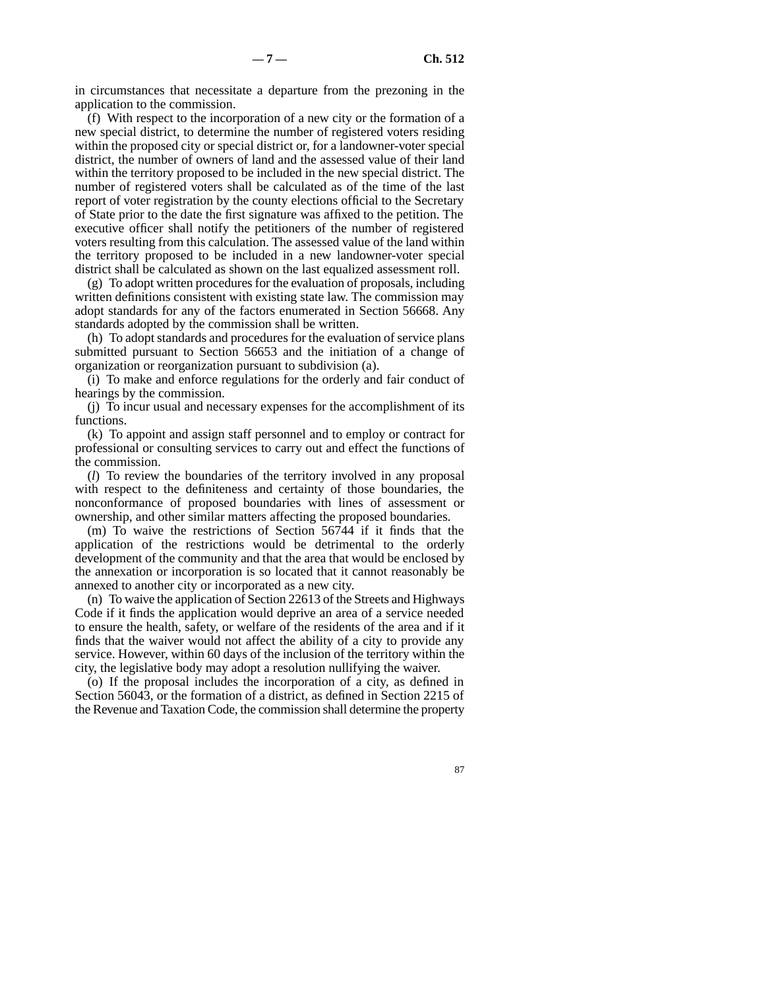in circumstances that necessitate a departure from the prezoning in the application to the commission.

(f) With respect to the incorporation of a new city or the formation of a new special district, to determine the number of registered voters residing within the proposed city or special district or, for a landowner-voter special district, the number of owners of land and the assessed value of their land within the territory proposed to be included in the new special district. The number of registered voters shall be calculated as of the time of the last report of voter registration by the county elections official to the Secretary of State prior to the date the first signature was affixed to the petition. The executive officer shall notify the petitioners of the number of registered voters resulting from this calculation. The assessed value of the land within the territory proposed to be included in a new landowner-voter special district shall be calculated as shown on the last equalized assessment roll.

(g) To adopt written procedures for the evaluation of proposals, including written definitions consistent with existing state law. The commission may adopt standards for any of the factors enumerated in Section 56668. Any standards adopted by the commission shall be written.

(h) To adopt standards and procedures for the evaluation of service plans submitted pursuant to Section 56653 and the initiation of a change of organization or reorganization pursuant to subdivision (a).

(i) To make and enforce regulations for the orderly and fair conduct of hearings by the commission.

(j) To incur usual and necessary expenses for the accomplishment of its functions.

(k) To appoint and assign staff personnel and to employ or contract for professional or consulting services to carry out and effect the functions of the commission.

(*l*) To review the boundaries of the territory involved in any proposal with respect to the definiteness and certainty of those boundaries, the nonconformance of proposed boundaries with lines of assessment or ownership, and other similar matters affecting the proposed boundaries.

(m) To waive the restrictions of Section 56744 if it finds that the application of the restrictions would be detrimental to the orderly development of the community and that the area that would be enclosed by the annexation or incorporation is so located that it cannot reasonably be annexed to another city or incorporated as a new city.

(n) To waive the application of Section 22613 of the Streets and Highways Code if it finds the application would deprive an area of a service needed to ensure the health, safety, or welfare of the residents of the area and if it finds that the waiver would not affect the ability of a city to provide any service. However, within 60 days of the inclusion of the territory within the city, the legislative body may adopt a resolution nullifying the waiver.

(o) If the proposal includes the incorporation of a city, as defined in Section 56043, or the formation of a district, as defined in Section 2215 of the Revenue and Taxation Code, the commission shall determine the property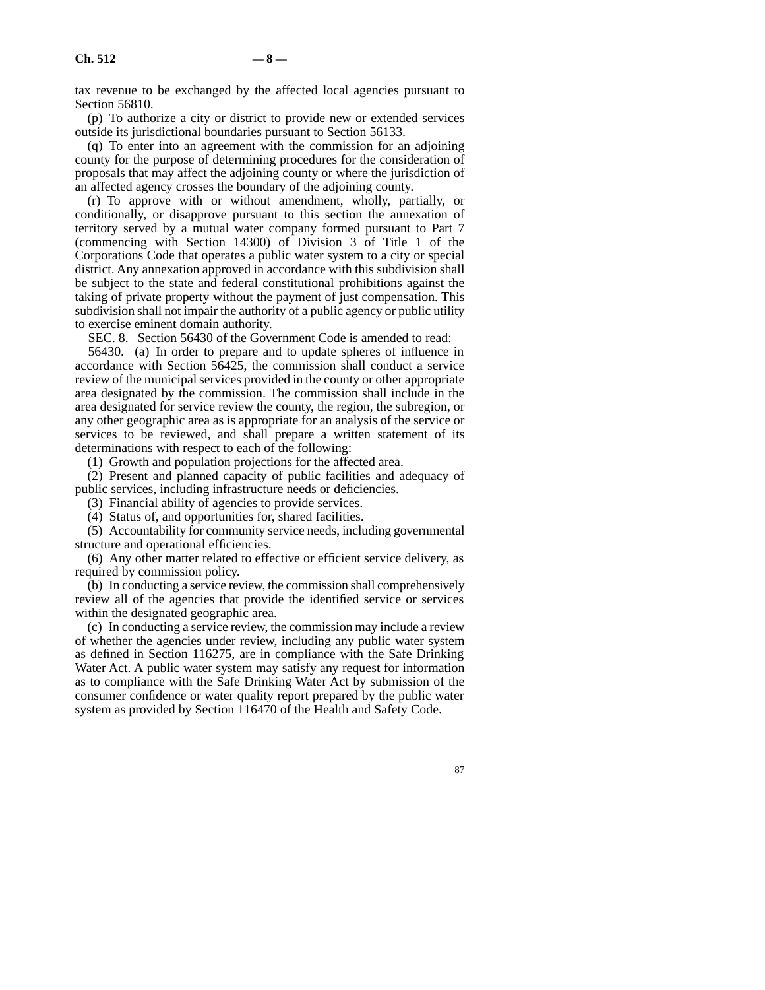tax revenue to be exchanged by the affected local agencies pursuant to Section 56810.

(p) To authorize a city or district to provide new or extended services outside its jurisdictional boundaries pursuant to Section 56133.

(q) To enter into an agreement with the commission for an adjoining county for the purpose of determining procedures for the consideration of proposals that may affect the adjoining county or where the jurisdiction of an affected agency crosses the boundary of the adjoining county.

(r) To approve with or without amendment, wholly, partially, or conditionally, or disapprove pursuant to this section the annexation of territory served by a mutual water company formed pursuant to Part 7 (commencing with Section 14300) of Division 3 of Title 1 of the Corporations Code that operates a public water system to a city or special district. Any annexation approved in accordance with this subdivision shall be subject to the state and federal constitutional prohibitions against the taking of private property without the payment of just compensation. This subdivision shall not impair the authority of a public agency or public utility to exercise eminent domain authority.

SEC. 8. Section 56430 of the Government Code is amended to read:

56430. (a) In order to prepare and to update spheres of influence in accordance with Section 56425, the commission shall conduct a service review of the municipal services provided in the county or other appropriate area designated by the commission. The commission shall include in the area designated for service review the county, the region, the subregion, or any other geographic area as is appropriate for an analysis of the service or services to be reviewed, and shall prepare a written statement of its determinations with respect to each of the following:

(1) Growth and population projections for the affected area.

(2) Present and planned capacity of public facilities and adequacy of public services, including infrastructure needs or deficiencies.

(3) Financial ability of agencies to provide services.

(4) Status of, and opportunities for, shared facilities.

(5) Accountability for community service needs, including governmental structure and operational efficiencies.

(6) Any other matter related to effective or efficient service delivery, as required by commission policy.

(b) In conducting a service review, the commission shall comprehensively review all of the agencies that provide the identified service or services within the designated geographic area.

(c) In conducting a service review, the commission may include a review of whether the agencies under review, including any public water system as defined in Section 116275, are in compliance with the Safe Drinking Water Act. A public water system may satisfy any request for information as to compliance with the Safe Drinking Water Act by submission of the consumer confidence or water quality report prepared by the public water system as provided by Section 116470 of the Health and Safety Code.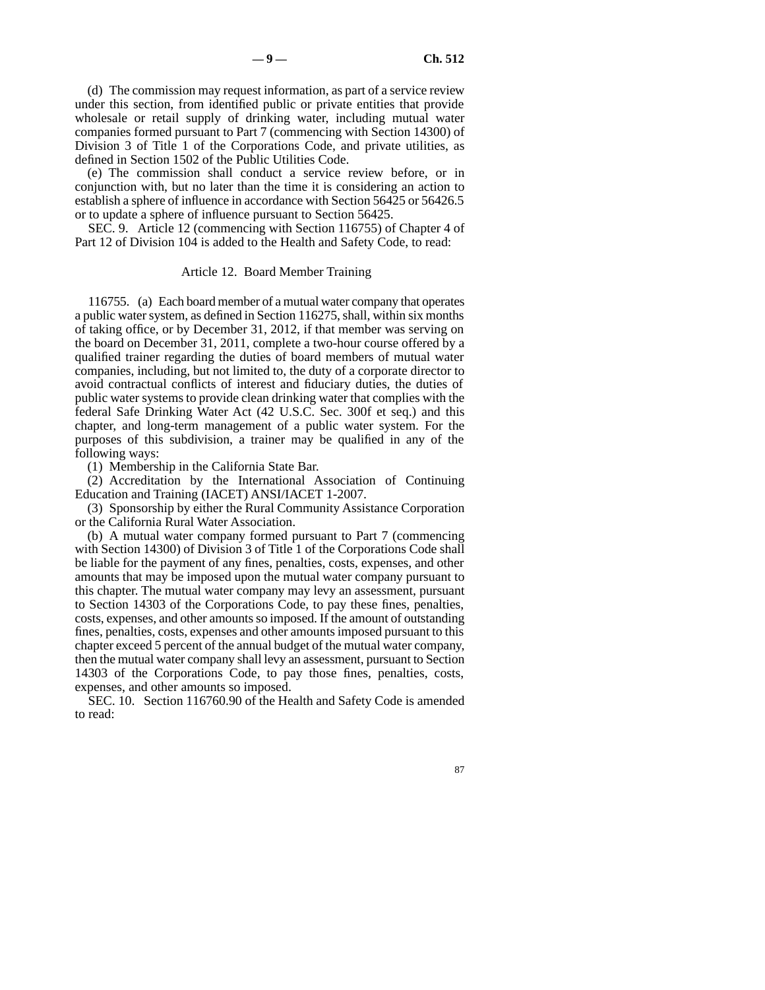(d) The commission may request information, as part of a service review under this section, from identified public or private entities that provide wholesale or retail supply of drinking water, including mutual water companies formed pursuant to Part 7 (commencing with Section 14300) of Division 3 of Title 1 of the Corporations Code, and private utilities, as defined in Section 1502 of the Public Utilities Code.

(e) The commission shall conduct a service review before, or in conjunction with, but no later than the time it is considering an action to establish a sphere of influence in accordance with Section 56425 or 56426.5 or to update a sphere of influence pursuant to Section 56425.

SEC. 9. Article 12 (commencing with Section 116755) of Chapter 4 of Part 12 of Division 104 is added to the Health and Safety Code, to read:

#### Article 12. Board Member Training

116755. (a) Each board member of a mutual water company that operates a public water system, as defined in Section 116275, shall, within six months of taking office, or by December 31, 2012, if that member was serving on the board on December 31, 2011, complete a two-hour course offered by a qualified trainer regarding the duties of board members of mutual water companies, including, but not limited to, the duty of a corporate director to avoid contractual conflicts of interest and fiduciary duties, the duties of public water systems to provide clean drinking water that complies with the federal Safe Drinking Water Act (42 U.S.C. Sec. 300f et seq.) and this chapter, and long-term management of a public water system. For the purposes of this subdivision, a trainer may be qualified in any of the following ways:

(1) Membership in the California State Bar.

(2) Accreditation by the International Association of Continuing Education and Training (IACET) ANSI/IACET 1-2007.

(3) Sponsorship by either the Rural Community Assistance Corporation or the California Rural Water Association.

(b) A mutual water company formed pursuant to Part 7 (commencing with Section 14300) of Division 3 of Title 1 of the Corporations Code shall be liable for the payment of any fines, penalties, costs, expenses, and other amounts that may be imposed upon the mutual water company pursuant to this chapter. The mutual water company may levy an assessment, pursuant to Section 14303 of the Corporations Code, to pay these fines, penalties, costs, expenses, and other amounts so imposed. If the amount of outstanding fines, penalties, costs, expenses and other amounts imposed pursuant to this chapter exceed 5 percent of the annual budget of the mutual water company, then the mutual water company shall levy an assessment, pursuant to Section 14303 of the Corporations Code, to pay those fines, penalties, costs, expenses, and other amounts so imposed.

SEC. 10. Section 116760.90 of the Health and Safety Code is amended to read: